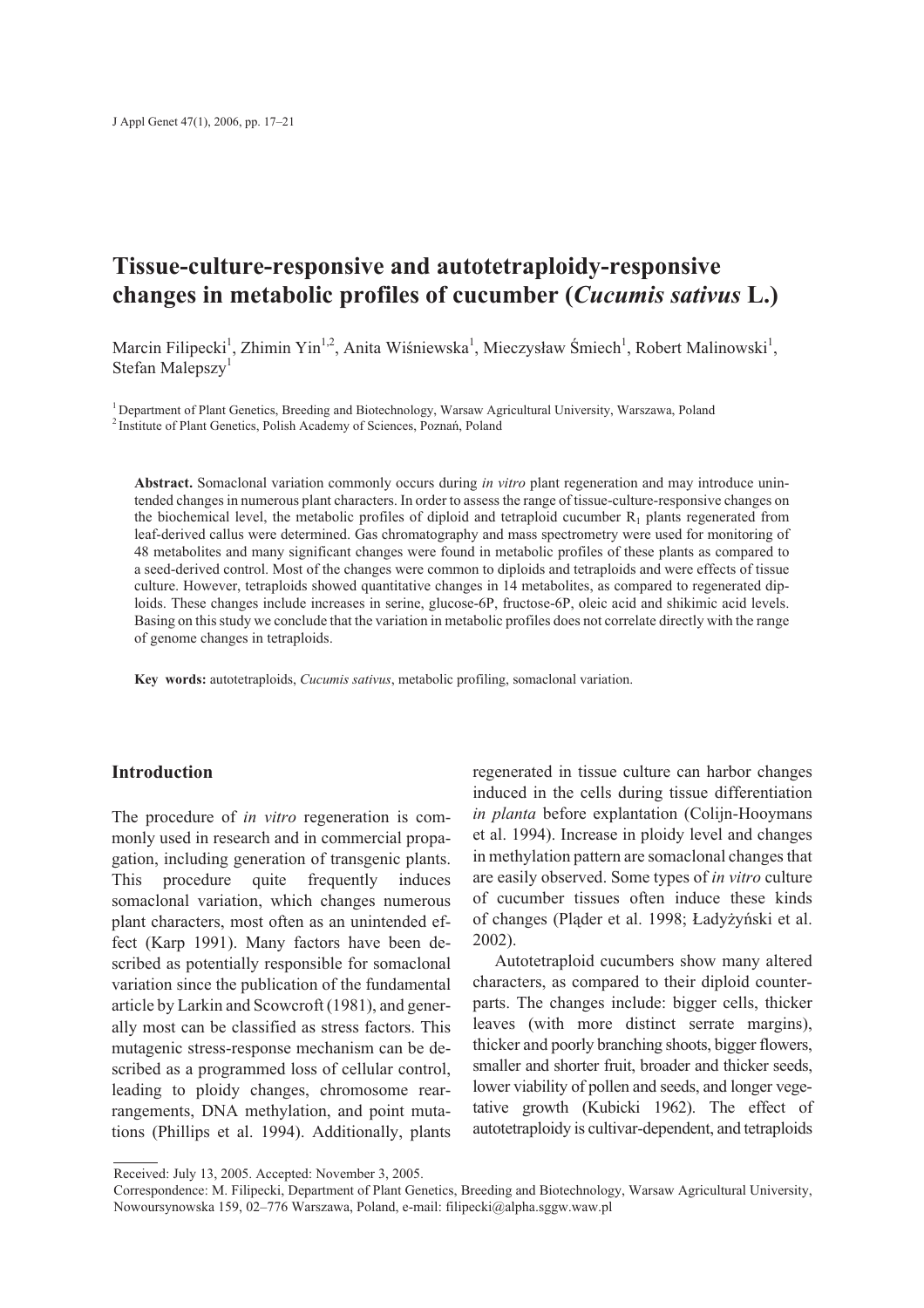# **Tissue-culture-responsive and autotetraploidy-responsive changes in metabolic profiles of cucumber (***Cucumis sativus* **L.)**

Marcin Filipecki<sup>1</sup>, Zhimin Yin<sup>1,2</sup>, Anita Wiśniewska<sup>1</sup>, Mieczysław Śmiech<sup>1</sup>, Robert Malinowski<sup>1</sup>, Stefan Malepszy<sup>1</sup>

<sup>1</sup> Department of Plant Genetics, Breeding and Biotechnology, Warsaw Agricultural University, Warszawa, Poland <sup>2</sup> Institute of Plant Genetics, Polish Academy of Sciences, Poznañ, Poland

**Abstract.** Somaclonal variation commonly occurs during *in vitro* plant regeneration and may introduce unintended changes in numerous plant characters. In order to assess the range of tissue-culture-responsive changes on the biochemical level, the metabolic profiles of diploid and tetraploid cucumber  $R_1$  plants regenerated from leaf-derived callus were determined. Gas chromatography and mass spectrometry were used for monitoring of 48 metabolites and many significant changes were found in metabolic profiles of these plants as compared to a seed-derived control. Most of the changes were common to diploids and tetraploids and were effects of tissue culture. However, tetraploids showed quantitative changes in 14 metabolites, as compared to regenerated diploids. These changes include increases in serine, glucose-6P, fructose-6P, oleic acid and shikimic acid levels. Basing on this study we conclude that the variation in metabolic profiles does not correlate directly with the range of genome changes in tetraploids.

**Key words:** autotetraploids, *Cucumis sativus*, metabolic profiling, somaclonal variation.

# **Introduction**

The procedure of *in vitro* regeneration is commonly used in research and in commercial propagation, including generation of transgenic plants. This procedure quite frequently induces somaclonal variation, which changes numerous plant characters, most often as an unintended effect (Karp 1991). Many factors have been described as potentially responsible for somaclonal variation since the publication of the fundamental article by Larkin and Scowcroft (1981), and generally most can be classified as stress factors. This mutagenic stress-response mechanism can be described as a programmed loss of cellular control, leading to ploidy changes, chromosome rearrangements, DNA methylation, and point mutations (Phillips et al. 1994). Additionally, plants

regenerated in tissue culture can harbor changes induced in the cells during tissue differentiation *in planta* before explantation (Colijn-Hooymans et al. 1994). Increase in ploidy level and changes in methylation pattern are somaclonal changes that are easily observed. Some types of *in vitro* culture of cucumber tissues often induce these kinds of changes (Pl¹der et al. 1998; £ady¿yñski et al. 2002).

Autotetraploid cucumbers show many altered characters, as compared to their diploid counterparts. The changes include: bigger cells, thicker leaves (with more distinct serrate margins), thicker and poorly branching shoots, bigger flowers, smaller and shorter fruit, broader and thicker seeds, lower viability of pollen and seeds, and longer vegetative growth (Kubicki 1962). The effect of autotetraploidy is cultivar-dependent, and tetraploids

Received: July 13, 2005. Accepted: November 3, 2005.

Correspondence: M. Filipecki, Department of Plant Genetics, Breeding and Biotechnology, Warsaw Agricultural University, Nowoursynowska 159, 02–776 Warszawa, Poland, e-mail: filipecki@alpha.sggw.waw.pl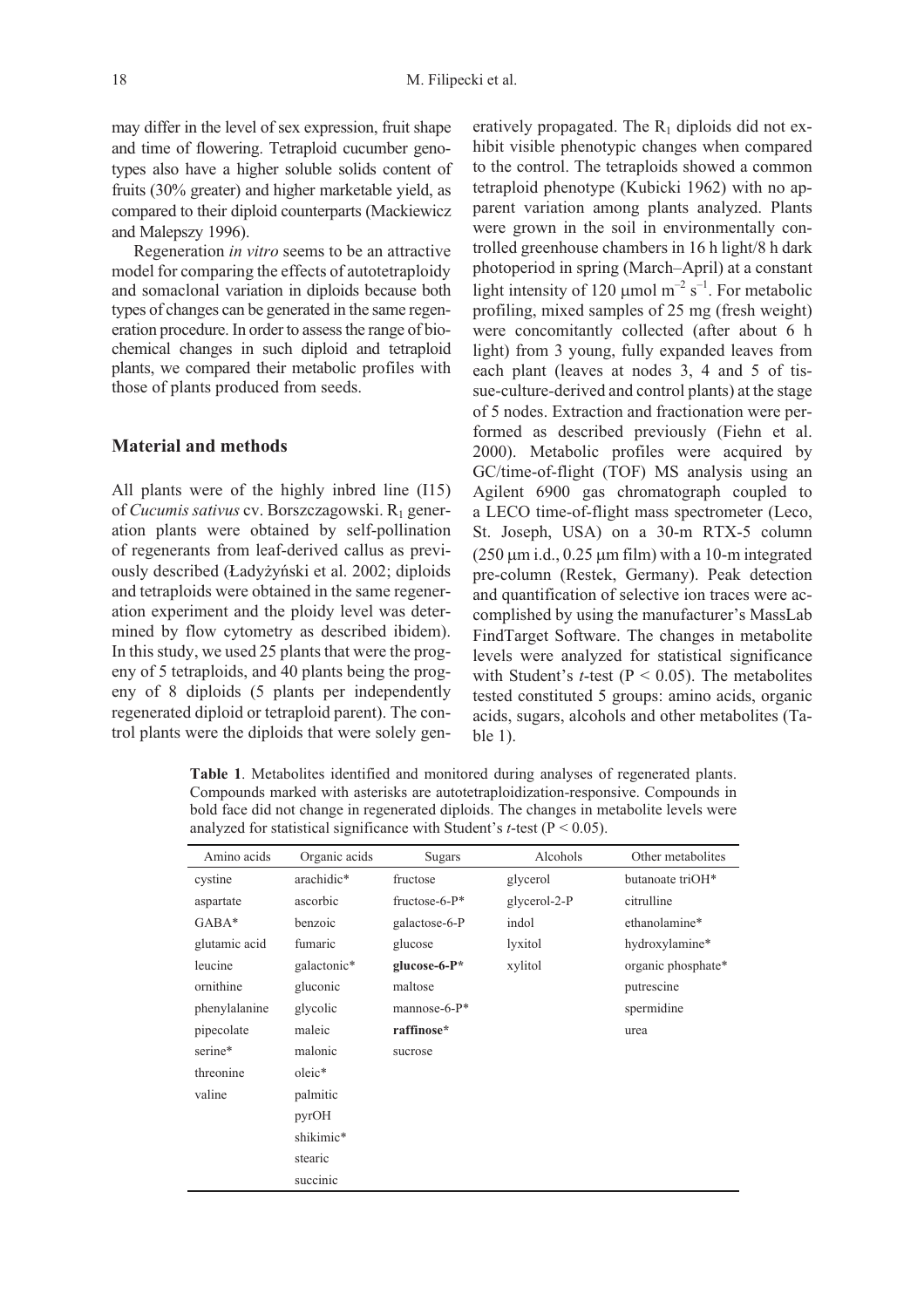may differ in the level of sex expression, fruit shape and time of flowering. Tetraploid cucumber genotypes also have a higher soluble solids content of fruits (30% greater) and higher marketable yield, as compared to their diploid counterparts (Mackiewicz and Malepszy 1996).

Regeneration *in vitro* seems to be an attractive model for comparing the effects of autotetraploidy and somaclonal variation in diploids because both types of changes can be generated in the same regeneration procedure. In order to assess the range of biochemical changes in such diploid and tetraploid plants, we compared their metabolic profiles with those of plants produced from seeds.

#### **Material and methods**

All plants were of the highly inbred line (I15) of *Cucumis sativus* cv. Borszczagowski. R<sub>1</sub> generation plants were obtained by self-pollination of regenerants from leaf-derived callus as previously described (£ady¿yñski et al. 2002; diploids and tetraploids were obtained in the same regeneration experiment and the ploidy level was determined by flow cytometry as described ibidem). In this study, we used 25 plants that were the progeny of 5 tetraploids, and 40 plants being the progeny of 8 diploids (5 plants per independently regenerated diploid or tetraploid parent). The control plants were the diploids that were solely generatively propagated. The  $R_1$  diploids did not exhibit visible phenotypic changes when compared to the control. The tetraploids showed a common tetraploid phenotype (Kubicki 1962) with no apparent variation among plants analyzed. Plants were grown in the soil in environmentally controlled greenhouse chambers in 16 h light/8 h dark photoperiod in spring (March–April) at a constant light intensity of 120  $\mu$ mol m<sup>-2</sup> s<sup>-1</sup>. For metabolic profiling, mixed samples of 25 mg (fresh weight) were concomitantly collected (after about 6 h light) from 3 young, fully expanded leaves from each plant (leaves at nodes 3, 4 and 5 of tissue-culture*-*derived and control plants) at the stage of 5 nodes. Extraction and fractionation were performed as described previously (Fiehn et al. 2000). Metabolic profiles were acquired by GC/time-of-flight (TOF) MS analysis using an Agilent 6900 gas chromatograph coupled to a LECO time-of-flight mass spectrometer (Leco, St. Joseph, USA) on a 30-m RTX-5 column  $(250 \mu m \text{ i.d., } 0.25 \mu m \text{ film})$  with a 10-m integrated pre-column (Restek, Germany). Peak detection and quantification of selective ion traces were accomplished by using the manufacturer's MassLab FindTarget Software. The changes in metabolite levels were analyzed for statistical significance with Student's *t*-test ( $P < 0.05$ ). The metabolites tested constituted 5 groups: amino acids, organic acids, sugars, alcohols and other metabolites (Table 1).

**Table 1**. Metabolites identified and monitored during analyses of regenerated plants. Compounds marked with asterisks are autotetraploidization-responsive. Compounds in bold face did not change in regenerated diploids. The changes in metabolite levels were analyzed for statistical significance with Student's  $t$ -test ( $P < 0.05$ ).

| Amino acids   | Organic acids | <b>Sugars</b>     | Alcohols     | Other metabolites  |
|---------------|---------------|-------------------|--------------|--------------------|
| cystine       | arachidic*    | fructose          | glycerol     | butanoate triOH*   |
| aspartate     | ascorbic      | fructose-6- $P^*$ | glycerol-2-P | citrulline         |
| $GABA^*$      | benzoic       | galactose-6-P     | indol        | ethanolamine*      |
| glutamic acid | fumaric       | glucose           | lyxitol      | hydroxylamine*     |
| leucine       | galactonic*   | glucose-6- $P^*$  | xylitol      | organic phosphate* |
| ornithine     | gluconic      | maltose           |              | putrescine         |
| phenylalanine | glycolic      | mannose-6- $P^*$  |              | spermidine         |
| pipecolate    | maleic        | raffinose*        |              | urea               |
| serine*       | malonic       | sucrose           |              |                    |
| threonine     | oleic*        |                   |              |                    |
| valine        | palmitic      |                   |              |                    |
|               | pyrOH         |                   |              |                    |
|               | shikimic*     |                   |              |                    |
|               | stearic       |                   |              |                    |
|               | succinic      |                   |              |                    |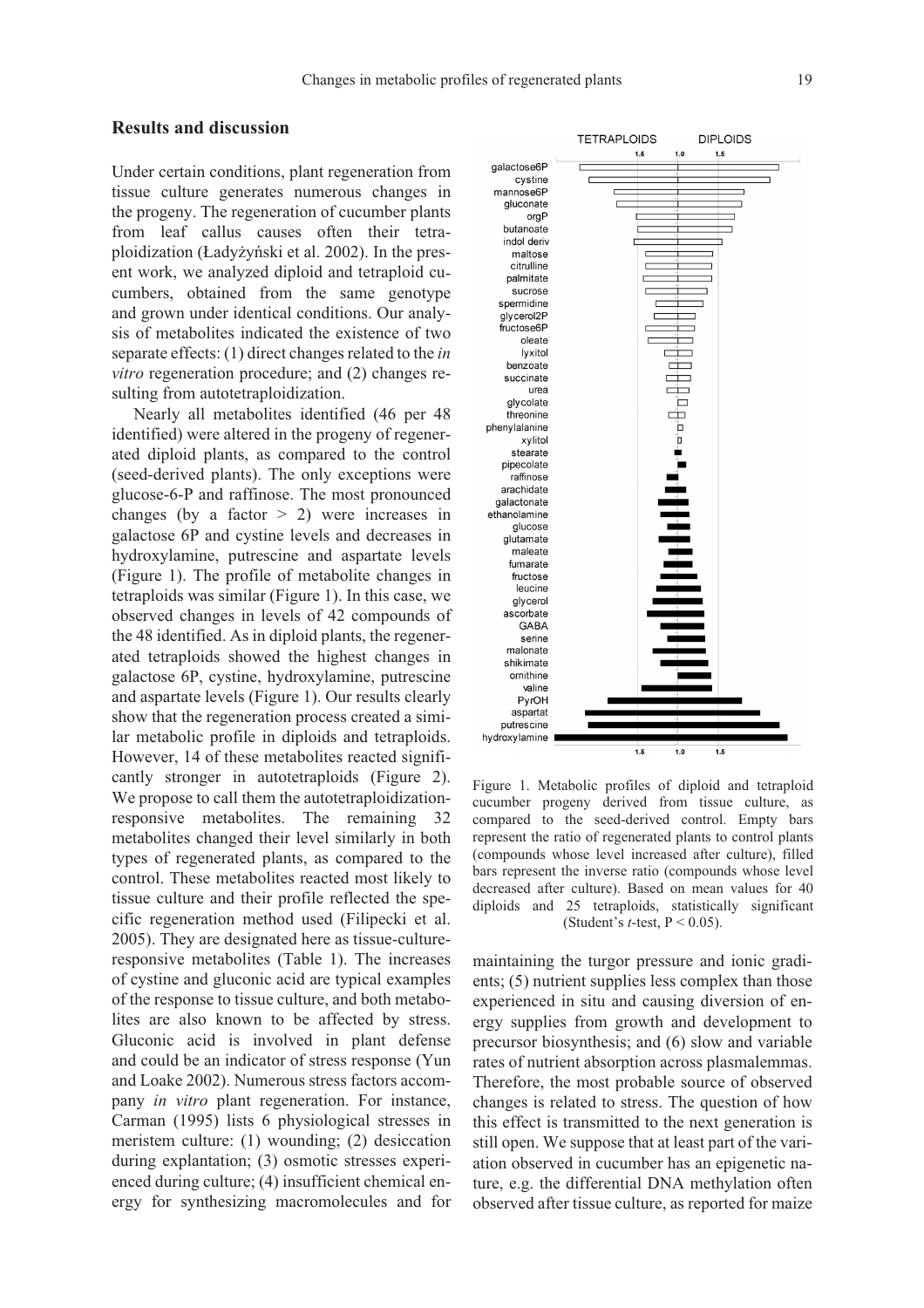# **Results and discussion**

Under certain conditions, plant regeneration from tissue culture generates numerous changes in the progeny. The regeneration of cucumber plants from leaf callus causes often their tetraploidization (£ady¿yñski et al. 2002). In the present work, we analyzed diploid and tetraploid cucumbers, obtained from the same genotype and grown under identical conditions. Our analysis of metabolites indicated the existence of two separate effects: (1) direct changes related to the *in vitro* regeneration procedure; and (2) changes resulting from autotetraploidization.

Nearly all metabolites identified (46 per 48 identified) were altered in the progeny of regenerated diploid plants, as compared to the control (seed-derived plants). The only exceptions were glucose-6-P and raffinose. The most pronounced changes (by a factor  $> 2$ ) were increases in galactose 6P and cystine levels and decreases in hydroxylamine, putrescine and aspartate levels (Figure 1). The profile of metabolite changes in tetraploids was similar (Figure 1). In this case, we observed changes in levels of 42 compounds of the 48 identified. As in diploid plants, the regenerated tetraploids showed the highest changes in galactose 6P, cystine, hydroxylamine, putrescine and aspartate levels (Figure 1). Our results clearly show that the regeneration process created a similar metabolic profile in diploids and tetraploids. However, 14 of these metabolites reacted significantly stronger in autotetraploids (Figure 2). We propose to call them the autotetraploidizationresponsive metabolites. The remaining 32 metabolites changed their level similarly in both types of regenerated plants, as compared to the control. These metabolites reacted most likely to tissue culture and their profile reflected the specific regeneration method used (Filipecki et al. 2005). They are designated here as tissue-cultureresponsive metabolites (Table 1). The increases of cystine and gluconic acid are typical examples of the response to tissue culture, and both metabolites are also known to be affected by stress. Gluconic acid is involved in plant defense and could be an indicator of stress response (Yun and Loake 2002). Numerous stress factors accompany *in vitro* plant regeneration. For instance, Carman (1995) lists 6 physiological stresses in meristem culture: (1) wounding; (2) desiccation during explantation; (3) osmotic stresses experienced during culture; (4) insufficient chemical energy for synthesizing macromolecules and for



Figure 1. Metabolic profiles of diploid and tetraploid cucumber progeny derived from tissue culture, as compared to the seed-derived control. Empty bars represent the ratio of regenerated plants to control plants (compounds whose level increased after culture), filled bars represent the inverse ratio (compounds whose level decreased after culture). Based on mean values for 40 diploids and 25 tetraploids, statistically significant (Student's *t*-test, P < 0.05).

maintaining the turgor pressure and ionic gradients; (5) nutrient supplies less complex than those experienced in situ and causing diversion of energy supplies from growth and development to precursor biosynthesis; and (6) slow and variable rates of nutrient absorption across plasmalemmas. Therefore, the most probable source of observed changes is related to stress. The question of how this effect is transmitted to the next generation is still open. We suppose that at least part of the variation observed in cucumber has an epigenetic nature, e.g. the differential DNA methylation often observed after tissue culture, as reported for maize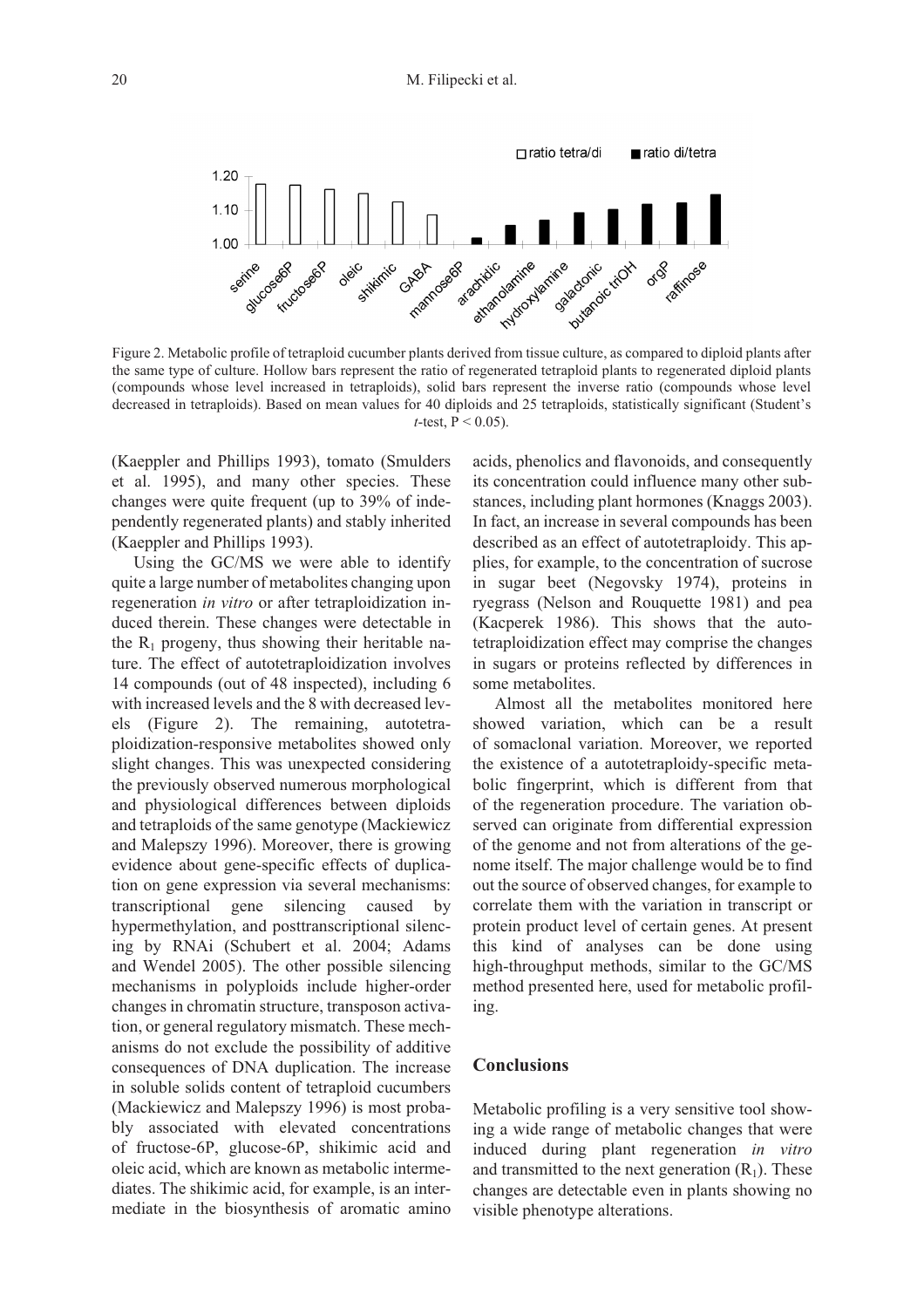

Figure 2. Metabolic profile of tetraploid cucumber plants derived from tissue culture, as compared to diploid plants after the same type of culture. Hollow bars represent the ratio of regenerated tetraploid plants to regenerated diploid plants (compounds whose level increased in tetraploids), solid bars represent the inverse ratio (compounds whose level decreased in tetraploids). Based on mean values for 40 diploids and 25 tetraploids, statistically significant (Student's *t*-test,  $P < 0.05$ ).

(Kaeppler and Phillips 1993), tomato (Smulders et al. 1995), and many other species. These changes were quite frequent (up to 39% of independently regenerated plants) and stably inherited (Kaeppler and Phillips 1993).

Using the GC/MS we were able to identify quite a large number of metabolites changing upon regeneration *in vitro* or after tetraploidization induced therein. These changes were detectable in the  $R_1$  progeny, thus showing their heritable nature. The effect of autotetraploidization involves 14 compounds (out of 48 inspected), including 6 with increased levels and the 8 with decreased levels (Figure 2). The remaining, autotetraploidization-responsive metabolites showed only slight changes. This was unexpected considering the previously observed numerous morphological and physiological differences between diploids and tetraploids of the same genotype (Mackiewicz and Malepszy 1996). Moreover, there is growing evidence about gene-specific effects of duplication on gene expression via several mechanisms: transcriptional gene silencing caused by hypermethylation, and posttranscriptional silencing by RNAi (Schubert et al. 2004; Adams and Wendel 2005). The other possible silencing mechanisms in polyploids include higher-order changes in chromatin structure, transposon activation, or general regulatory mismatch. These mechanisms do not exclude the possibility of additive consequences of DNA duplication. The increase in soluble solids content of tetraploid cucumbers (Mackiewicz and Malepszy 1996) is most probably associated with elevated concentrations of fructose-6P, glucose-6P, shikimic acid and oleic acid, which are known as metabolic intermediates. The shikimic acid, for example, is an intermediate in the biosynthesis of aromatic amino acids, phenolics and flavonoids, and consequently its concentration could influence many other substances, including plant hormones (Knaggs 2003). In fact, an increase in several compounds has been described as an effect of autotetraploidy. This applies, for example, to the concentration of sucrose in sugar beet (Negovsky 1974), proteins in ryegrass (Nelson and Rouquette 1981) and pea (Kacperek 1986). This shows that the autotetraploidization effect may comprise the changes in sugars or proteins reflected by differences in some metabolites.

Almost all the metabolites monitored here showed variation, which can be a result of somaclonal variation. Moreover, we reported the existence of a autotetraploidy-specific metabolic fingerprint, which is different from that of the regeneration procedure. The variation observed can originate from differential expression of the genome and not from alterations of the genome itself. The major challenge would be to find out the source of observed changes, for example to correlate them with the variation in transcript or protein product level of certain genes. At present this kind of analyses can be done using high-throughput methods, similar to the GC/MS method presented here, used for metabolic profiling.

### **Conclusions**

Metabolic profiling is a very sensitive tool showing a wide range of metabolic changes that were induced during plant regeneration *in vitro* and transmitted to the next generation  $(R_1)$ . These changes are detectable even in plants showing no visible phenotype alterations.